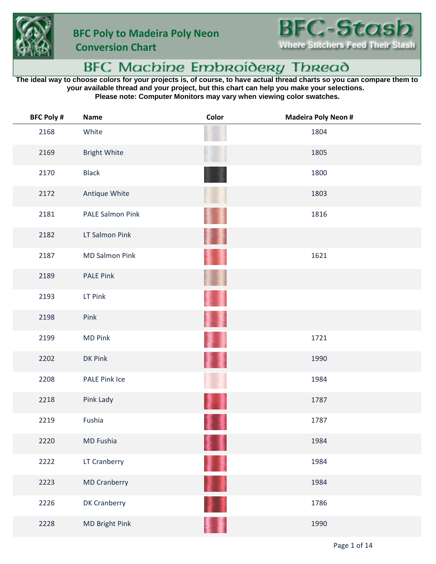

 **Conversion Chart**

## BFC Machine Embroidery Thread

**The ideal way to choose colors for your projects is, of course, to have actual thread charts so you can compare them to your available thread and your project, but this chart can help you make your selections. Please note: Computer Monitors may vary when viewing color swatches.**

| <b>BFC Poly #</b> | Name                  | Color    | <b>Madeira Poly Neon #</b> |
|-------------------|-----------------------|----------|----------------------------|
| 2168              | White                 |          | 1804                       |
| 2169              | <b>Bright White</b>   |          | 1805                       |
| 2170              | <b>Black</b>          |          | 1800                       |
| 2172              | Antique White         |          | 1803                       |
| 2181              | PALE Salmon Pink      |          | 1816                       |
| 2182              | LT Salmon Pink        | 濐        |                            |
| 2187              | <b>MD Salmon Pink</b> |          | 1621                       |
| 2189              | <b>PALE Pink</b>      |          |                            |
| 2193              | LT Pink               |          |                            |
| 2198              | Pink                  |          |                            |
| 2199              | <b>MD Pink</b>        |          | 1721                       |
| 2202              | DK Pink               | <b>I</b> | 1990                       |
| 2208              | <b>PALE Pink Ice</b>  |          | 1984                       |
| 2218              | Pink Lady             |          | 1787                       |
| 2219              | Fushia                |          | 1787                       |
| 2220              | MD Fushia             |          | 1984                       |
| 2222              | LT Cranberry          | 菲重       | 1984                       |
| 2223              | <b>MD Cranberry</b>   | <b>T</b> | 1984                       |
| 2226              | DK Cranberry          |          | 1786                       |
| 2228              | MD Bright Pink        |          | 1990                       |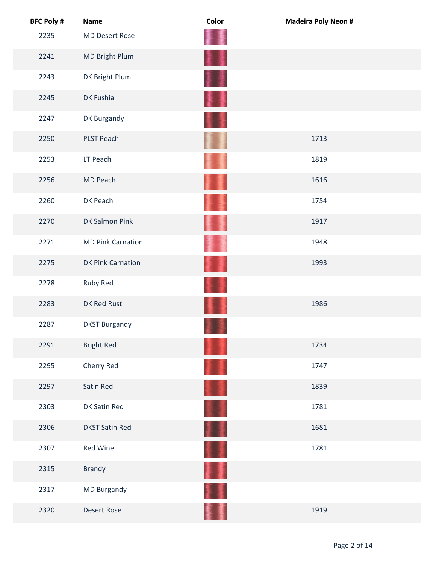| <b>BFC Poly #</b> | <b>Name</b>              | Color | <b>Madeira Poly Neon #</b> |
|-------------------|--------------------------|-------|----------------------------|
| 2235              | <b>MD Desert Rose</b>    |       |                            |
| 2241              | MD Bright Plum           | H     |                            |
| 2243              | DK Bright Plum           |       |                            |
| 2245              | DK Fushia                |       |                            |
| 2247              | DK Burgandy              |       |                            |
| 2250              | PLST Peach               |       | 1713                       |
| 2253              | LT Peach                 |       | 1819                       |
| 2256              | MD Peach                 |       | 1616                       |
| 2260              | DK Peach                 |       | 1754                       |
| 2270              | DK Salmon Pink           |       | 1917                       |
| 2271              | <b>MD Pink Carnation</b> |       | 1948                       |
| 2275              | <b>DK Pink Carnation</b> | 灢     | 1993                       |
| 2278              | Ruby Red                 |       |                            |
| 2283              | DK Red Rust              |       | 1986                       |
| 2287              | <b>DKST Burgandy</b>     |       |                            |
| 2291              | <b>Bright Red</b>        |       | 1734                       |
| 2295              | Cherry Red               |       | 1747                       |
| 2297              | Satin Red                |       | 1839                       |
| 2303              | DK Satin Red             |       | 1781                       |
| 2306              | <b>DKST Satin Red</b>    | H     | 1681                       |
| 2307              | Red Wine                 |       | 1781                       |
| 2315              | Brandy                   |       |                            |
| 2317              | MD Burgandy              |       |                            |
| 2320              | <b>Desert Rose</b>       |       | 1919                       |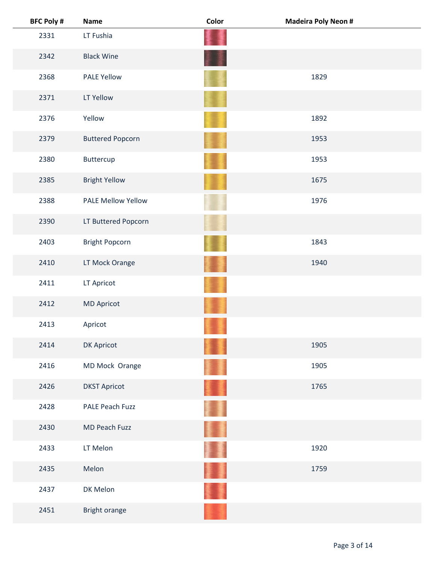| <b>BFC Poly #</b> | <b>Name</b>               | Color | <b>Madeira Poly Neon #</b> |
|-------------------|---------------------------|-------|----------------------------|
| 2331              | LT Fushia                 |       |                            |
| 2342              | <b>Black Wine</b>         |       |                            |
| 2368              | <b>PALE Yellow</b>        |       | 1829                       |
| 2371              | LT Yellow                 |       |                            |
| 2376              | Yellow                    |       | 1892                       |
| 2379              | <b>Buttered Popcorn</b>   |       | 1953                       |
| 2380              | Buttercup                 |       | 1953                       |
| 2385              | <b>Bright Yellow</b>      |       | 1675                       |
| 2388              | <b>PALE Mellow Yellow</b> |       | 1976                       |
| 2390              | LT Buttered Popcorn       |       |                            |
| 2403              | <b>Bright Popcorn</b>     |       | 1843                       |
| 2410              | LT Mock Orange            |       | 1940                       |
| 2411              | LT Apricot                |       |                            |
| 2412              | <b>MD Apricot</b>         |       |                            |
| 2413              | Apricot                   |       |                            |
| 2414              | DK Apricot                |       | 1905                       |
| 2416              | MD Mock Orange            |       | 1905                       |
| 2426              | <b>DKST Apricot</b>       |       | 1765                       |
| 2428              | <b>PALE Peach Fuzz</b>    |       |                            |
| 2430              | MD Peach Fuzz             |       |                            |
| 2433              | LT Melon                  |       | 1920                       |
| 2435              | Melon                     |       | 1759                       |
| 2437              | DK Melon                  |       |                            |
| 2451              | Bright orange             |       |                            |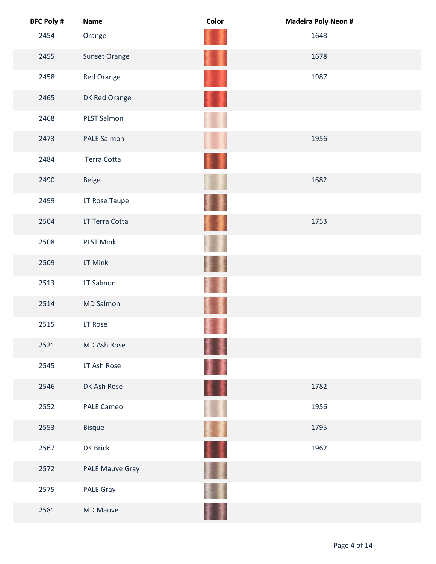| <b>BFC Poly #</b> | <b>Name</b>       | Color    | <b>Madeira Poly Neon #</b> |
|-------------------|-------------------|----------|----------------------------|
| 2454              | Orange            |          | 1648                       |
| 2455              | Sunset Orange     |          | 1678                       |
| 2458              | Red Orange        |          | 1987                       |
| 2465              | DK Red Orange     |          |                            |
| 2468              | PLST Salmon       |          |                            |
| 2473              | PALE Salmon       |          | 1956                       |
| 2484              | Terra Cotta       |          |                            |
| 2490              | <b>Beige</b>      |          | 1682                       |
| 2499              | LT Rose Taupe     |          |                            |
| 2504              | LT Terra Cotta    |          | 1753                       |
| 2508              | <b>PLST Mink</b>  |          |                            |
| 2509              | LT Mink           |          |                            |
| 2513              | LT Salmon         |          |                            |
| 2514              | <b>MD Salmon</b>  |          |                            |
| 2515              | LT Rose           |          |                            |
| 2521              | MD Ash Rose       |          |                            |
| 2545              | LT Ash Rose       | ł        |                            |
| 2546              | DK Ash Rose       | ı        | 1782                       |
| 2552              | <b>PALE Cameo</b> |          | 1956                       |
| 2553              | <b>Bisque</b>     | <b>I</b> | 1795                       |
| 2567              | DK Brick          |          | 1962                       |
| 2572              | PALE Mauve Gray   |          |                            |
| 2575              | PALE Gray         |          |                            |
| 2581              | <b>MD Mauve</b>   |          |                            |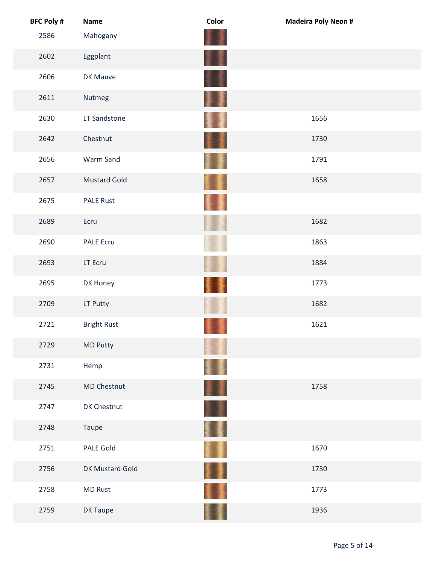| <b>BFC Poly #</b> | <b>Name</b>         | Color  | <b>Madeira Poly Neon #</b> |
|-------------------|---------------------|--------|----------------------------|
| 2586              | Mahogany            |        |                            |
| 2602              | Eggplant            |        |                            |
| 2606              | DK Mauve            |        |                            |
| 2611              | Nutmeg              | 寠<br>J |                            |
| 2630              | LT Sandstone        |        | 1656                       |
| 2642              | Chestnut            |        | 1730                       |
| 2656              | Warm Sand           |        | 1791                       |
| 2657              | <b>Mustard Gold</b> |        | 1658                       |
| 2675              | <b>PALE Rust</b>    |        |                            |
| 2689              | Ecru                |        | 1682                       |
| 2690              | <b>PALE Ecru</b>    |        | 1863                       |
| 2693              | LT Ecru             |        | 1884                       |
| 2695              | DK Honey            |        | 1773                       |
| 2709              | LT Putty            |        | 1682                       |
| 2721              | <b>Bright Rust</b>  |        | 1621                       |
| 2729              | <b>MD Putty</b>     |        |                            |
| 2731              | Hemp                |        |                            |
| 2745              | <b>MD Chestnut</b>  | II.    | 1758                       |
| 2747              | DK Chestnut         |        |                            |
| 2748              | Taupe               | Ħ      |                            |
| 2751              | <b>PALE Gold</b>    | H      | 1670                       |
| 2756              | DK Mustard Gold     | I      | 1730                       |
| 2758              | <b>MD Rust</b>      |        | 1773                       |
| 2759              | DK Taupe            |        | 1936                       |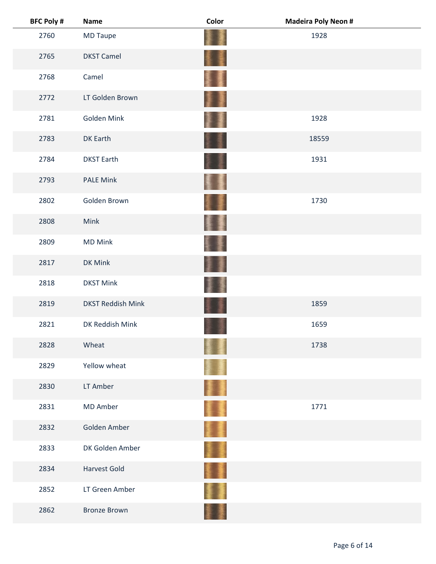| <b>BFC Poly #</b> | <b>Name</b>              | Color    | <b>Madeira Poly Neon #</b> |
|-------------------|--------------------------|----------|----------------------------|
| 2760              | <b>MD Taupe</b>          |          | 1928                       |
| 2765              | <b>DKST Camel</b>        | 素量       |                            |
| 2768              | Camel                    | <b>I</b> |                            |
| 2772              | LT Golden Brown          | J        |                            |
| 2781              | Golden Mink              |          | 1928                       |
| 2783              | DK Earth                 |          | 18559                      |
| 2784              | <b>DKST Earth</b>        |          | 1931                       |
| 2793              | <b>PALE Mink</b>         | ł        |                            |
| 2802              | Golden Brown             |          | 1730                       |
| 2808              | Mink                     | ł<br>Ŗ   |                            |
| 2809              | <b>MD Mink</b>           |          |                            |
| 2817              | DK Mink                  | P        |                            |
| 2818              | <b>DKST Mink</b>         |          |                            |
| 2819              | <b>DKST Reddish Mink</b> |          | 1859                       |
| 2821              | DK Reddish Mink          |          | 1659                       |
| 2828              | Wheat                    |          | 1738                       |
| 2829              | Yellow wheat             |          |                            |
| 2830              | LT Amber                 | Į,       |                            |
| 2831              | <b>MD Amber</b>          | Ħ        | 1771                       |
| 2832              | Golden Amber             | II.      |                            |
| 2833              | DK Golden Amber          | 重畫       |                            |
| 2834              | <b>Harvest Gold</b>      |          |                            |
| 2852              | LT Green Amber           |          |                            |
| 2862              | <b>Bronze Brown</b>      |          |                            |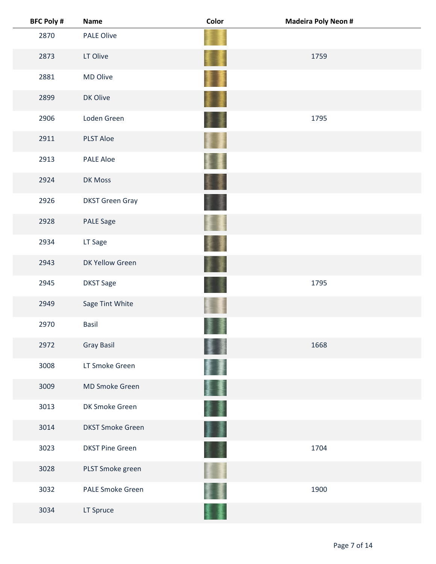| <b>BFC Poly #</b> | <b>Name</b>             | Color | <b>Madeira Poly Neon #</b> |
|-------------------|-------------------------|-------|----------------------------|
| 2870              | <b>PALE Olive</b>       |       |                            |
| 2873              | LT Olive                |       | 1759                       |
| 2881              | MD Olive                |       |                            |
| 2899              | DK Olive                |       |                            |
| 2906              | Loden Green             |       | 1795                       |
| 2911              | <b>PLST Aloe</b>        |       |                            |
| 2913              | <b>PALE Aloe</b>        |       |                            |
| 2924              | DK Moss                 |       |                            |
| 2926              | <b>DKST Green Gray</b>  |       |                            |
| 2928              | PALE Sage               |       |                            |
| 2934              | LT Sage                 |       |                            |
| 2943              | DK Yellow Green         |       |                            |
| 2945              | <b>DKST Sage</b>        |       | 1795                       |
| 2949              | Sage Tint White         |       |                            |
| 2970              | <b>Basil</b>            |       |                            |
| 2972              | <b>Gray Basil</b>       |       | 1668                       |
| 3008              | LT Smoke Green          |       |                            |
| 3009              | MD Smoke Green          |       |                            |
| 3013              | DK Smoke Green          |       |                            |
| 3014              | <b>DKST Smoke Green</b> |       |                            |
| 3023              | <b>DKST Pine Green</b>  |       | 1704                       |
| 3028              | PLST Smoke green        |       |                            |
| 3032              | <b>PALE Smoke Green</b> |       | 1900                       |
| 3034              | LT Spruce               |       |                            |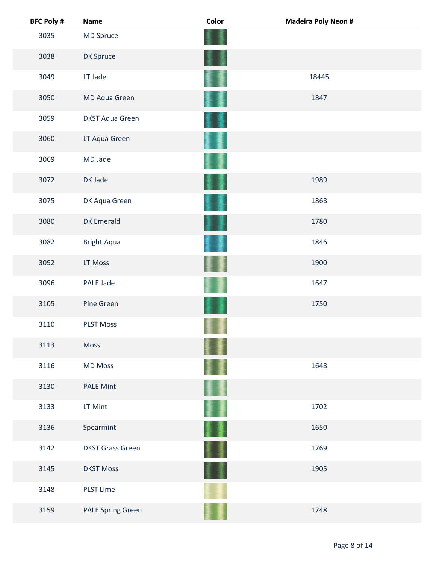| <b>BFC Poly #</b> | <b>Name</b>              | Color | <b>Madeira Poly Neon #</b> |
|-------------------|--------------------------|-------|----------------------------|
| 3035              | MD Spruce                |       |                            |
| 3038              | DK Spruce                |       |                            |
| 3049              | LT Jade                  |       | 18445                      |
| 3050              | MD Aqua Green            |       | 1847                       |
| 3059              | <b>DKST Aqua Green</b>   |       |                            |
| 3060              | LT Aqua Green            |       |                            |
| 3069              | MD Jade                  |       |                            |
| 3072              | DK Jade                  |       | 1989                       |
| 3075              | DK Aqua Green            |       | 1868                       |
| 3080              | <b>DK Emerald</b>        |       | 1780                       |
| 3082              | <b>Bright Aqua</b>       |       | 1846                       |
| 3092              | LT Moss                  |       | 1900                       |
| 3096              | PALE Jade                |       | 1647                       |
| 3105              | Pine Green               |       | 1750                       |
| 3110              | <b>PLST Moss</b>         |       |                            |
| 3113              | Moss                     |       |                            |
| 3116              | <b>MD Moss</b>           |       | 1648                       |
| 3130              | <b>PALE Mint</b>         |       |                            |
| 3133              | LT Mint                  |       | 1702                       |
| 3136              | Spearmint                | 屢     | 1650                       |
| 3142              | <b>DKST Grass Green</b>  |       | 1769                       |
| 3145              | <b>DKST Moss</b>         |       | 1905                       |
| 3148              | <b>PLST Lime</b>         |       |                            |
| 3159              | <b>PALE Spring Green</b> |       | 1748                       |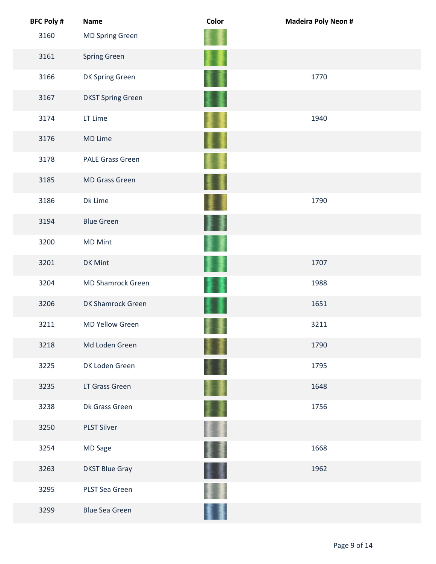| <b>BFC Poly #</b> | <b>Name</b>              | Color | <b>Madeira Poly Neon #</b> |  |
|-------------------|--------------------------|-------|----------------------------|--|
| 3160              | <b>MD Spring Green</b>   |       |                            |  |
| 3161              | <b>Spring Green</b>      |       |                            |  |
| 3166              | DK Spring Green          |       | 1770                       |  |
| 3167              | <b>DKST Spring Green</b> |       |                            |  |
| 3174              | LT Lime                  |       | 1940                       |  |
| 3176              | MD Lime                  |       |                            |  |
| 3178              | <b>PALE Grass Green</b>  |       |                            |  |
| 3185              | <b>MD Grass Green</b>    |       |                            |  |
| 3186              | Dk Lime                  |       | 1790                       |  |
| 3194              | <b>Blue Green</b>        | 藳     |                            |  |
| 3200              | <b>MD Mint</b>           |       |                            |  |
| 3201              | DK Mint                  |       | 1707                       |  |
| 3204              | <b>MD Shamrock Green</b> |       | 1988                       |  |
| 3206              | DK Shamrock Green        |       | 1651                       |  |
| 3211              | <b>MD Yellow Green</b>   |       | 3211                       |  |
| 3218              | Md Loden Green           |       | 1790                       |  |
| 3225              | DK Loden Green           |       | 1795                       |  |
| 3235              | LT Grass Green           |       | 1648                       |  |
| 3238              | Dk Grass Green           |       | 1756                       |  |
| 3250              | <b>PLST Silver</b>       |       |                            |  |
| 3254              | MD Sage                  |       | 1668                       |  |
| 3263              | <b>DKST Blue Gray</b>    |       | 1962                       |  |
| 3295              | PLST Sea Green           |       |                            |  |
| 3299              | <b>Blue Sea Green</b>    |       |                            |  |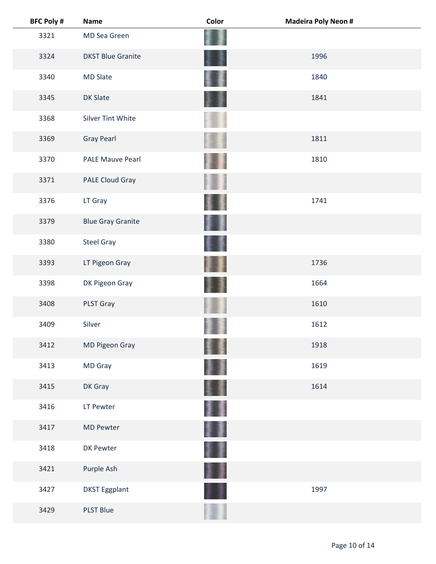| <b>BFC Poly #</b> | <b>Name</b>              | Color | <b>Madeira Poly Neon #</b> |
|-------------------|--------------------------|-------|----------------------------|
| 3321              | MD Sea Green             |       |                            |
| 3324              | <b>DKST Blue Granite</b> |       | 1996                       |
| 3340              | <b>MD Slate</b>          |       | 1840                       |
| 3345              | <b>DK Slate</b>          |       | 1841                       |
| 3368              | <b>Silver Tint White</b> |       |                            |
| 3369              | <b>Gray Pearl</b>        |       | 1811                       |
| 3370              | <b>PALE Mauve Pearl</b>  |       | 1810                       |
| 3371              | PALE Cloud Gray          |       |                            |
| 3376              | LT Gray                  |       | 1741                       |
| 3379              | <b>Blue Gray Granite</b> |       |                            |
| 3380              | <b>Steel Gray</b>        |       |                            |
| 3393              | LT Pigeon Gray           |       | 1736                       |
| 3398              | DK Pigeon Gray           |       | 1664                       |
| 3408              | PLST Gray                |       | 1610                       |
| 3409              | Silver                   |       | 1612                       |
| 3412              | MD Pigeon Gray           |       | 1918                       |
| 3413              | MD Gray                  |       | 1619                       |
| 3415              | DK Gray                  |       | 1614                       |
| 3416              | LT Pewter                |       |                            |
| 3417              | <b>MD Pewter</b>         |       |                            |
| 3418              | DK Pewter                | ł     |                            |
| 3421              | Purple Ash               |       |                            |
| 3427              | <b>DKST Eggplant</b>     |       | 1997                       |
| 3429              | <b>PLST Blue</b>         |       |                            |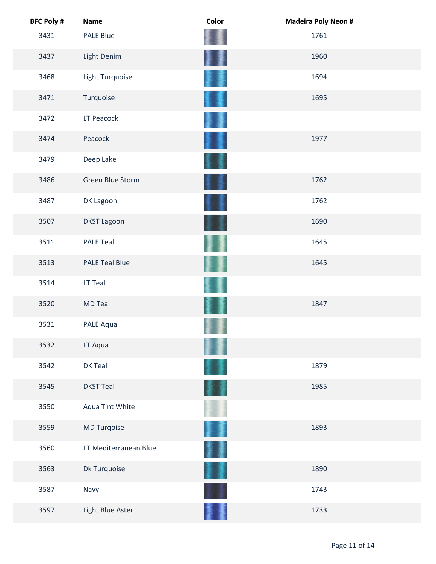| <b>BFC Poly #</b> | <b>Name</b>           | Color | <b>Madeira Poly Neon #</b> |
|-------------------|-----------------------|-------|----------------------------|
| 3431              | PALE Blue             |       | 1761                       |
| 3437              | Light Denim           |       | 1960                       |
| 3468              | Light Turquoise       |       | 1694                       |
| 3471              | Turquoise             |       | 1695                       |
| 3472              | LT Peacock            |       |                            |
| 3474              | Peacock               |       | 1977                       |
| 3479              | Deep Lake             |       |                            |
| 3486              | Green Blue Storm      |       | 1762                       |
| 3487              | DK Lagoon             |       | 1762                       |
| 3507              | <b>DKST Lagoon</b>    |       | 1690                       |
| 3511              | <b>PALE Teal</b>      |       | 1645                       |
| 3513              | <b>PALE Teal Blue</b> |       | 1645                       |
| 3514              | LT Teal               |       |                            |
| 3520              | <b>MD Teal</b>        |       | 1847                       |
| 3531              | PALE Aqua             |       |                            |
| 3532              | LT Aqua               |       |                            |
| 3542              | DK Teal               |       | 1879                       |
| 3545              | <b>DKST Teal</b>      |       | 1985                       |
| 3550              | Aqua Tint White       |       |                            |
| 3559              | MD Turqoise           | 麞     | 1893                       |
| 3560              | LT Mediterranean Blue |       |                            |
| 3563              | Dk Turquoise          | 屢     | 1890                       |
| 3587              | Navy                  |       | 1743                       |
| 3597              | Light Blue Aster      |       | 1733                       |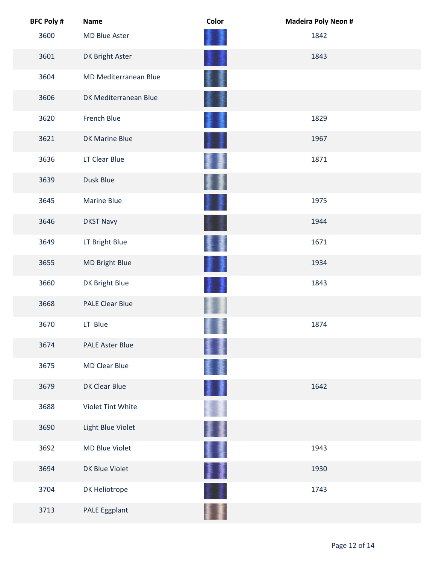| <b>BFC Poly #</b> | <b>Name</b>            | Color | <b>Madeira Poly Neon #</b> |
|-------------------|------------------------|-------|----------------------------|
| 3600              | MD Blue Aster          |       | 1842                       |
| 3601              | DK Bright Aster        |       | 1843                       |
| 3604              | MD Mediterranean Blue  |       |                            |
| 3606              | DK Mediterranean Blue  |       |                            |
| 3620              | French Blue            |       | 1829                       |
| 3621              | <b>DK Marine Blue</b>  |       | 1967                       |
| 3636              | LT Clear Blue          |       | 1871                       |
| 3639              | Dusk Blue              |       |                            |
| 3645              | Marine Blue            |       | 1975                       |
| 3646              | <b>DKST Navy</b>       |       | 1944                       |
| 3649              | LT Bright Blue         |       | 1671                       |
| 3655              | MD Bright Blue         |       | 1934                       |
| 3660              | DK Bright Blue         |       | 1843                       |
| 3668              | <b>PALE Clear Blue</b> |       |                            |
| 3670              | LT Blue                |       | 1874                       |
| 3674              | <b>PALE Aster Blue</b> |       |                            |
| 3675              | <b>MD Clear Blue</b>   |       |                            |
| 3679              | DK Clear Blue          |       | 1642                       |
| 3688              | Violet Tint White      |       |                            |
| 3690              | Light Blue Violet      |       |                            |
| 3692              | MD Blue Violet         | 蹇     | 1943                       |
| 3694              | DK Blue Violet         | 葦     | 1930                       |
| 3704              | DK Heliotrope          |       | 1743                       |
| 3713              | PALE Eggplant          |       |                            |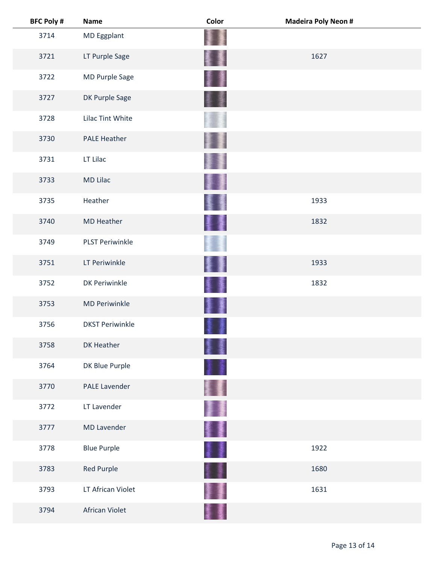| <b>BFC Poly #</b> | <b>Name</b>            | Color | <b>Madeira Poly Neon #</b> |
|-------------------|------------------------|-------|----------------------------|
| 3714              | MD Eggplant            |       |                            |
| 3721              | LT Purple Sage         |       | 1627                       |
| 3722              | MD Purple Sage         |       |                            |
| 3727              | DK Purple Sage         |       |                            |
| 3728              | Lilac Tint White       |       |                            |
| 3730              | <b>PALE Heather</b>    |       |                            |
| 3731              | LT Lilac               |       |                            |
| 3733              | <b>MD Lilac</b>        |       |                            |
| 3735              | Heather                |       | 1933                       |
| 3740              | <b>MD Heather</b>      | 屢     | 1832                       |
| 3749              | <b>PLST Periwinkle</b> |       |                            |
| 3751              | LT Periwinkle          |       | 1933                       |
| 3752              | <b>DK Periwinkle</b>   |       | 1832                       |
| 3753              | <b>MD Periwinkle</b>   |       |                            |
| 3756              | <b>DKST Periwinkle</b> |       |                            |
| 3758              | DK Heather             |       |                            |
| 3764              | DK Blue Purple         |       |                            |
| 3770              | <b>PALE Lavender</b>   |       |                            |
| 3772              | LT Lavender            | 手     |                            |
| 3777              | <b>MD Lavender</b>     | 撃乱    |                            |
| 3778              | <b>Blue Purple</b>     | 1     | 1922                       |
| 3783              | <b>Red Purple</b>      | H     | 1680                       |
| 3793              | LT African Violet      |       | 1631                       |
| 3794              | African Violet         |       |                            |